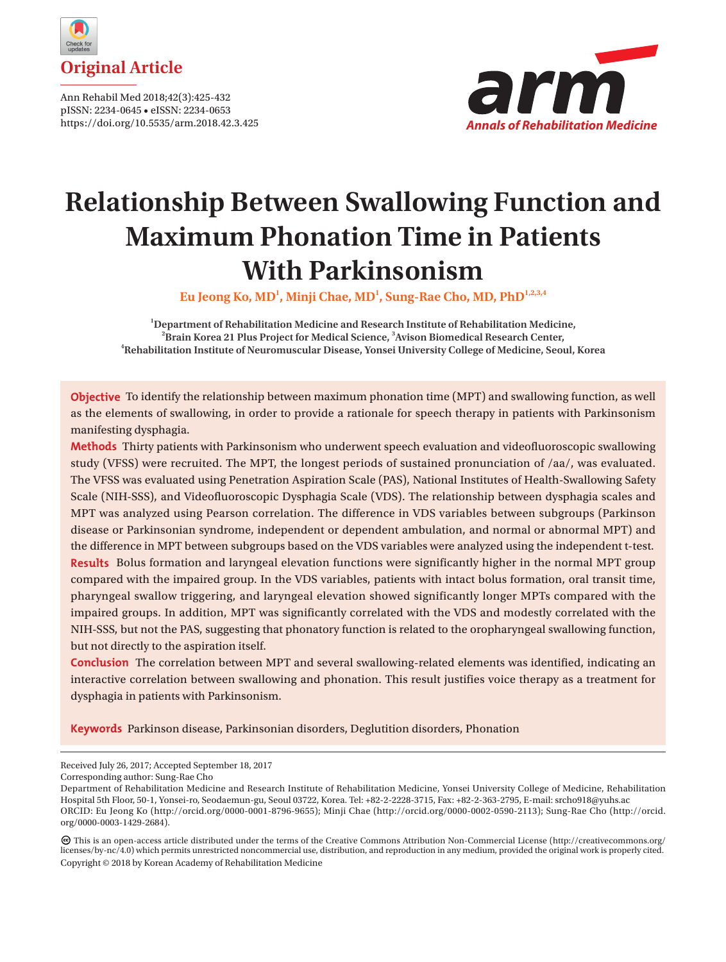

Ann Rehabil Med 2018;42(3):425-432 pISSN: 2234-0645 • eISSN: 2234-0653 https://doi.org/10.5535/arm.2018.42.3.425



# **Relationship Between Swallowing Function and Maximum Phonation Time in Patients With Parkinsonism**

**Eu Jeong Ko, MD1 , Minji Chae, MD1 , Sung-Rae Cho, MD, PhD1,2,3,4**

<sup>1</sup> Department of Rehabilitation Medicine and Research Institute of Rehabilitation Medicine, <sup>2</sup> Brain Korea 21 Plus Project for Medical Science, <sup>3</sup> Avison Biomedical Research Center, <sup>4</sup> Repeatilitation Institute of Neuromuscular Disease, Veneci University Cellege of Medicine, Security **Rehabilitation Institute of Neuromuscular Disease, Yonsei University College of Medicine, Seoul, Korea**

**Objective** To identify the relationship between maximum phonation time (MPT) and swallowing function, as well as the elements of swallowing, in order to provide a rationale for speech therapy in patients with Parkinsonism manifesting dysphagia.

**Methods** Thirty patients with Parkinsonism who underwent speech evaluation and videofluoroscopic swallowing study (VFSS) were recruited. The MPT, the longest periods of sustained pronunciation of /aa/, was evaluated. The VFSS was evaluated using Penetration Aspiration Scale (PAS), National Institutes of Health-Swallowing Safety Scale (NIH-SSS), and Videofluoroscopic Dysphagia Scale (VDS). The relationship between dysphagia scales and MPT was analyzed using Pearson correlation. The difference in VDS variables between subgroups (Parkinson disease or Parkinsonian syndrome, independent or dependent ambulation, and normal or abnormal MPT) and the difference in MPT between subgroups based on the VDS variables were analyzed using the independent t-test. **Results** Bolus formation and laryngeal elevation functions were significantly higher in the normal MPT group compared with the impaired group. In the VDS variables, patients with intact bolus formation, oral transit time, pharyngeal swallow triggering, and laryngeal elevation showed significantly longer MPTs compared with the impaired groups. In addition, MPT was significantly correlated with the VDS and modestly correlated with the NIH-SSS, but not the PAS, suggesting that phonatory function is related to the oropharyngeal swallowing function, but not directly to the aspiration itself.

**Conclusion** The correlation between MPT and several swallowing-related elements was identified, indicating an interactive correlation between swallowing and phonation. This result justifies voice therapy as a treatment for dysphagia in patients with Parkinsonism.

**Keywords** Parkinson disease, Parkinsonian disorders, Deglutition disorders, Phonation

Received July 26, 2017; Accepted September 18, 2017

Corresponding author: Sung-Rae Cho

Department of Rehabilitation Medicine and Research Institute of Rehabilitation Medicine, Yonsei University College of Medicine, Rehabilitation Hospital 5th Floor, 50-1, Yonsei-ro, Seodaemun-gu, Seoul 03722, Korea. Tel: +82-2-2228-3715, Fax: +82-2-363-2795, E-mail: srcho918@yuhs.ac ORCID: Eu Jeong Ko (http://orcid.org/0000-0001-8796-9655); Minji Chae (http://orcid.org/0000-0002-0590-2113); Sung-Rae Cho (http://orcid. org/0000-0003-1429-2684).

This is an open-access article distributed under the terms of the Creative Commons Attribution Non-Commercial License (http://creativecommons.org/ licenses/by-nc/4.0) which permits unrestricted noncommercial use, distribution, and reproduction in any medium, provided the original work is properly cited. Copyright © 2018 by Korean Academy of Rehabilitation Medicine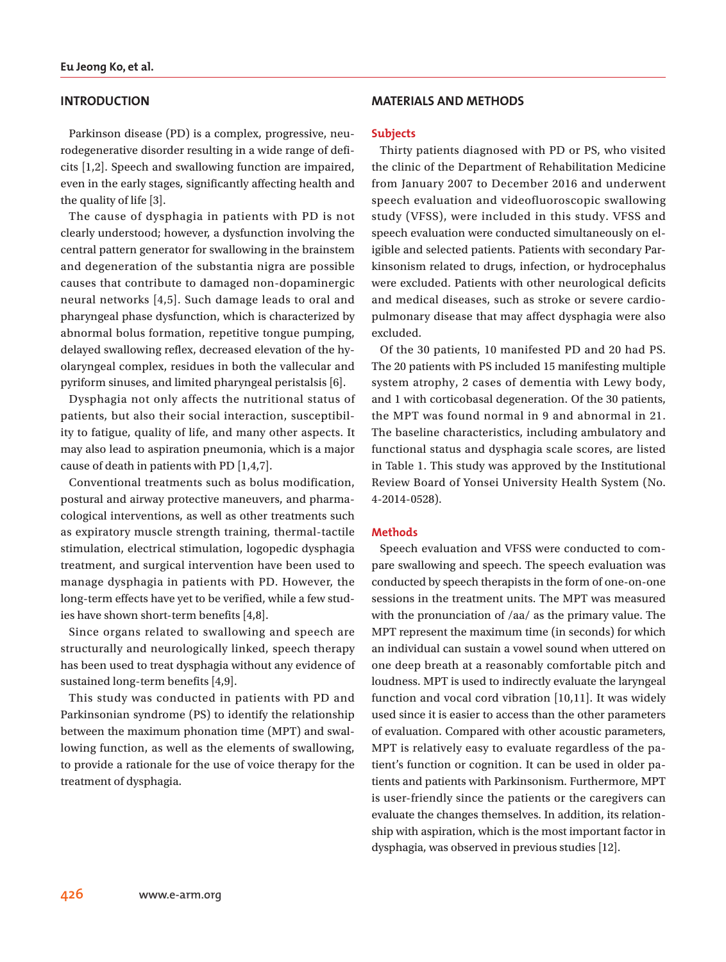# **INTRODUCTION**

Parkinson disease (PD) is a complex, progressive, neurodegenerative disorder resulting in a wide range of deficits [1,2]. Speech and swallowing function are impaired, even in the early stages, significantly affecting health and the quality of life [3].

The cause of dysphagia in patients with PD is not clearly understood; however, a dysfunction involving the central pattern generator for swallowing in the brainstem and degeneration of the substantia nigra are possible causes that contribute to damaged non-dopaminergic neural networks [4,5]. Such damage leads to oral and pharyngeal phase dysfunction, which is characterized by abnormal bolus formation, repetitive tongue pumping, delayed swallowing reflex, decreased elevation of the hyolaryngeal complex, residues in both the vallecular and pyriform sinuses, and limited pharyngeal peristalsis [6].

Dysphagia not only affects the nutritional status of patients, but also their social interaction, susceptibility to fatigue, quality of life, and many other aspects. It may also lead to aspiration pneumonia, which is a major cause of death in patients with PD [1,4,7].

Conventional treatments such as bolus modification, postural and airway protective maneuvers, and pharmacological interventions, as well as other treatments such as expiratory muscle strength training, thermal-tactile stimulation, electrical stimulation, logopedic dysphagia treatment, and surgical intervention have been used to manage dysphagia in patients with PD. However, the long-term effects have yet to be verified, while a few studies have shown short-term benefits [4,8].

Since organs related to swallowing and speech are structurally and neurologically linked, speech therapy has been used to treat dysphagia without any evidence of sustained long-term benefits [4,9].

This study was conducted in patients with PD and Parkinsonian syndrome (PS) to identify the relationship between the maximum phonation time (MPT) and swallowing function, as well as the elements of swallowing, to provide a rationale for the use of voice therapy for the treatment of dysphagia.

# **MATERIALS AND METHODS**

#### **Subjects**

Thirty patients diagnosed with PD or PS, who visited the clinic of the Department of Rehabilitation Medicine from January 2007 to December 2016 and underwent speech evaluation and videofluoroscopic swallowing study (VFSS), were included in this study. VFSS and speech evaluation were conducted simultaneously on eligible and selected patients. Patients with secondary Parkinsonism related to drugs, infection, or hydrocephalus were excluded. Patients with other neurological deficits and medical diseases, such as stroke or severe cardiopulmonary disease that may affect dysphagia were also excluded.

Of the 30 patients, 10 manifested PD and 20 had PS. The 20 patients with PS included 15 manifesting multiple system atrophy, 2 cases of dementia with Lewy body, and 1 with corticobasal degeneration. Of the 30 patients, the MPT was found normal in 9 and abnormal in 21. The baseline characteristics, including ambulatory and functional status and dysphagia scale scores, are listed in Table 1. This study was approved by the Institutional Review Board of Yonsei University Health System (No. 4-2014-0528).

#### **Methods**

Speech evaluation and VFSS were conducted to compare swallowing and speech. The speech evaluation was conducted by speech therapists in the form of one-on-one sessions in the treatment units. The MPT was measured with the pronunciation of /aa/ as the primary value. The MPT represent the maximum time (in seconds) for which an individual can sustain a vowel sound when uttered on one deep breath at a reasonably comfortable pitch and loudness. MPT is used to indirectly evaluate the laryngeal function and vocal cord vibration [10,11]. It was widely used since it is easier to access than the other parameters of evaluation. Compared with other acoustic parameters, MPT is relatively easy to evaluate regardless of the patient's function or cognition. It can be used in older patients and patients with Parkinsonism. Furthermore, MPT is user-friendly since the patients or the caregivers can evaluate the changes themselves. In addition, its relationship with aspiration, which is the most important factor in dysphagia, was observed in previous studies [12].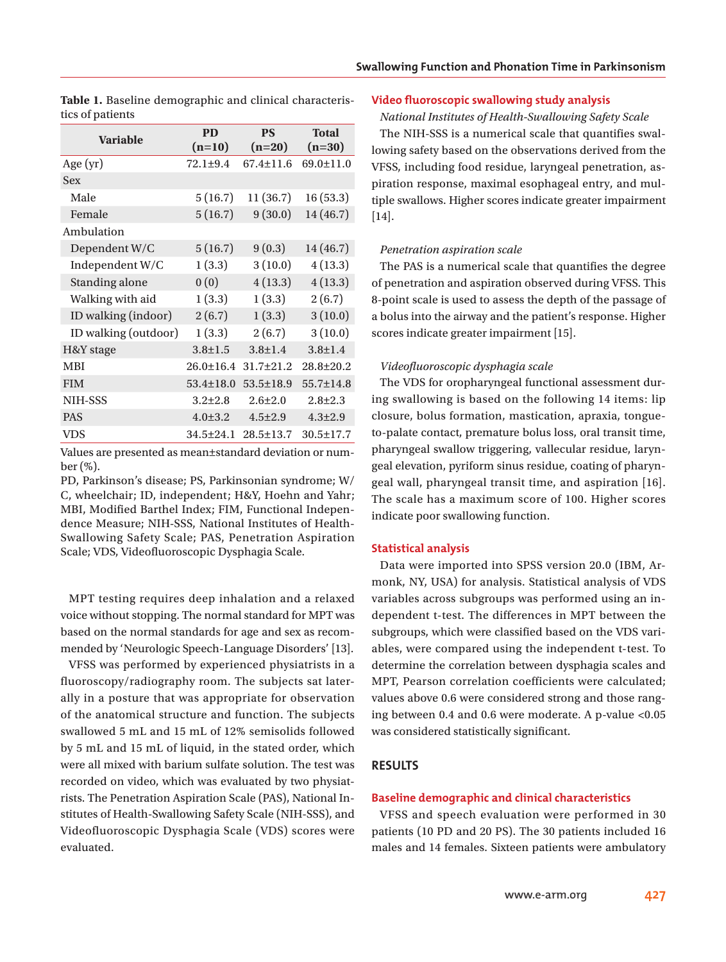| uos or puuento       |                       |                       |                   |  |
|----------------------|-----------------------|-----------------------|-------------------|--|
| <b>Variable</b>      | <b>PD</b><br>$(n=10)$ | <b>PS</b><br>$(n=20)$ | Total<br>$(n=30)$ |  |
| Age $(yr)$           | $72.1 \pm 9.4$        | $67.4 \pm 11.6$       | 69.0±11.0         |  |
| <b>Sex</b>           |                       |                       |                   |  |
| Male                 | 5(16.7)               | 11(36.7)              | 16(53.3)          |  |
| Female               | 5(16.7)               | 9(30.0)               | 14 (46.7)         |  |
| Ambulation           |                       |                       |                   |  |
| Dependent W/C        | 5(16.7)               | 9(0.3)                | 14 (46.7)         |  |
| Independent W/C      | 1(3.3)                | 3(10.0)               | 4(13.3)           |  |
| Standing alone       | 0(0)                  | 4(13.3)               | 4(13.3)           |  |
| Walking with aid     | 1(3.3)                | 1(3.3)                | 2(6.7)            |  |
| ID walking (indoor)  | 2(6.7)                | 1(3.3)                | 3(10.0)           |  |
| ID walking (outdoor) | 1(3.3)                | 2(6.7)                | 3(10.0)           |  |
| H&Y stage            | $3.8 \pm 1.5$         | $3.8 \pm 1.4$         | $3.8 \pm 1.4$     |  |
| <b>MBI</b>           | $26.0 \pm 16.4$       | $31.7 \pm 21.2$       | $28.8 \pm 20.2$   |  |
| <b>FIM</b>           | $53.4 \pm 18.0$       | $53.5 \pm 18.9$       | 55.7±14.8         |  |
| NIH-SSS              | $3.2 \pm 2.8$         | $2.6 \pm 2.0$         | $2.8 \pm 2.3$     |  |
| <b>PAS</b>           | $4.0 \pm 3.2$         | $4.5 \pm 2.9$         | $4.3 \pm 2.9$     |  |
| VDS                  | 34.5±24.1             | $28.5 \pm 13.7$       | $30.5 \pm 17.7$   |  |

**Table 1.** Baseline demographic and clinical characteristics of patients

Values are presented as mean±standard deviation or number (%).

PD, Parkinson's disease; PS, Parkinsonian syndrome; W/ C, wheelchair; ID, independent; H&Y, Hoehn and Yahr; MBI, Modified Barthel Index; FIM, Functional Independence Measure; NIH-SSS, National Institutes of Health-Swallowing Safety Scale; PAS, Penetration Aspiration Scale; VDS, Videofluoroscopic Dysphagia Scale.

MPT testing requires deep inhalation and a relaxed voice without stopping. The normal standard for MPT was based on the normal standards for age and sex as recommended by 'Neurologic Speech-Language Disorders' [13].

VFSS was performed by experienced physiatrists in a fluoroscopy/radiography room. The subjects sat laterally in a posture that was appropriate for observation of the anatomical structure and function. The subjects swallowed 5 mL and 15 mL of 12% semisolids followed by 5 mL and 15 mL of liquid, in the stated order, which were all mixed with barium sulfate solution. The test was recorded on video, which was evaluated by two physiatrists. The Penetration Aspiration Scale (PAS), National Institutes of Health-Swallowing Safety Scale (NIH-SSS), and Videofluoroscopic Dysphagia Scale (VDS) scores were evaluated.

# **Video fluoroscopic swallowing study analysis**

*National Institutes of Health-Swallowing Safety Scale*

The NIH-SSS is a numerical scale that quantifies swallowing safety based on the observations derived from the VFSS, including food residue, laryngeal penetration, aspiration response, maximal esophageal entry, and multiple swallows. Higher scores indicate greater impairment [14].

## *Penetration aspiration scale*

The PAS is a numerical scale that quantifies the degree of penetration and aspiration observed during VFSS. This 8-point scale is used to assess the depth of the passage of a bolus into the airway and the patient's response. Higher scores indicate greater impairment [15].

## *Videofluoroscopic dysphagia scale*

The VDS for oropharyngeal functional assessment during swallowing is based on the following 14 items: lip closure, bolus formation, mastication, apraxia, tongueto-palate contact, premature bolus loss, oral transit time, pharyngeal swallow triggering, vallecular residue, laryngeal elevation, pyriform sinus residue, coating of pharyngeal wall, pharyngeal transit time, and aspiration [16]. The scale has a maximum score of 100. Higher scores indicate poor swallowing function.

## **Statistical analysis**

Data were imported into SPSS version 20.0 (IBM, Armonk, NY, USA) for analysis. Statistical analysis of VDS variables across subgroups was performed using an independent t-test. The differences in MPT between the subgroups, which were classified based on the VDS variables, were compared using the independent t-test. To determine the correlation between dysphagia scales and MPT, Pearson correlation coefficients were calculated; values above 0.6 were considered strong and those ranging between 0.4 and 0.6 were moderate. A p-value <0.05 was considered statistically significant.

# **RESULTS**

### **Baseline demographic and clinical characteristics**

VFSS and speech evaluation were performed in 30 patients (10 PD and 20 PS). The 30 patients included 16 males and 14 females. Sixteen patients were ambulatory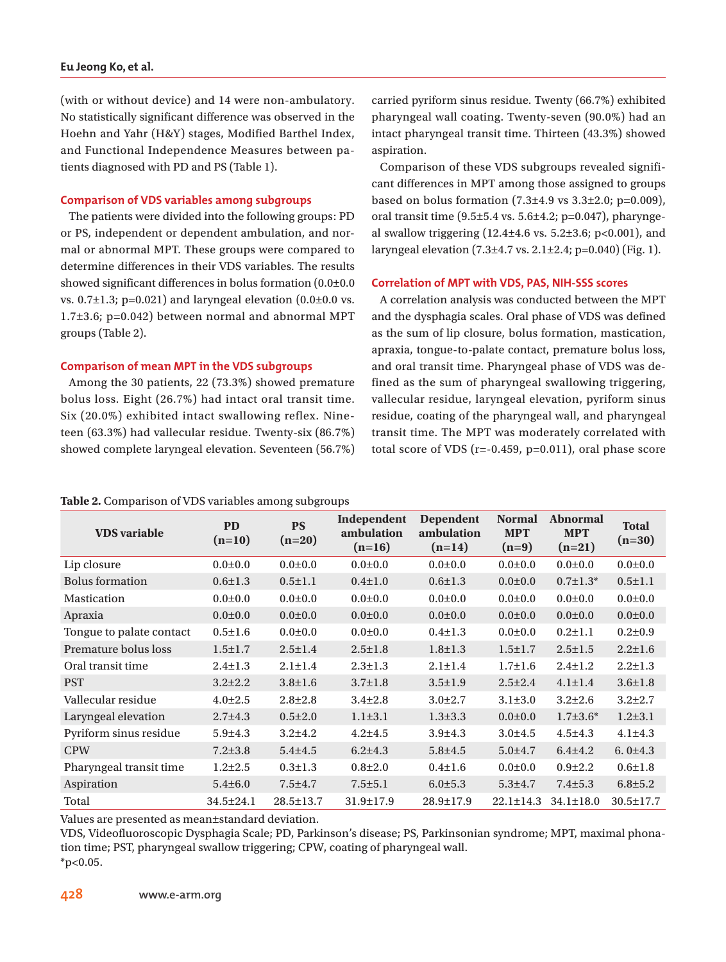## **Eu Jeong Ko, et al.**

(with or without device) and 14 were non-ambulatory. No statistically significant difference was observed in the Hoehn and Yahr (H&Y) stages, Modified Barthel Index, and Functional Independence Measures between patients diagnosed with PD and PS (Table 1).

## **Comparison of VDS variables among subgroups**

The patients were divided into the following groups: PD or PS, independent or dependent ambulation, and normal or abnormal MPT. These groups were compared to determine differences in their VDS variables. The results showed significant differences in bolus formation (0.0±0.0 vs.  $0.7\pm1.3$ ; p=0.021) and laryngeal elevation  $(0.0\pm0.0 \text{ vs.})$ 1.7±3.6; p=0.042) between normal and abnormal MPT groups (Table 2).

## **Comparison of mean MPT in the VDS subgroups**

Among the 30 patients, 22 (73.3%) showed premature bolus loss. Eight (26.7%) had intact oral transit time. Six (20.0%) exhibited intact swallowing reflex. Nineteen (63.3%) had vallecular residue. Twenty-six (86.7%) showed complete laryngeal elevation. Seventeen (56.7%)

#### **Table 2.** Comparison of VDS variables among subgroups

carried pyriform sinus residue. Twenty (66.7%) exhibited pharyngeal wall coating. Twenty-seven (90.0%) had an intact pharyngeal transit time. Thirteen (43.3%) showed aspiration.

Comparison of these VDS subgroups revealed significant differences in MPT among those assigned to groups based on bolus formation  $(7.3\pm4.9 \text{ vs } 3.3\pm2.0; \text{ p=0.009})$ , oral transit time (9.5±5.4 vs. 5.6±4.2; p=0.047), pharyngeal swallow triggering  $(12.4 \pm 4.6 \text{ vs. } 5.2 \pm 3.6; \text{ p} < 0.001)$ , and laryngeal elevation  $(7.3\pm4.7 \text{ vs. } 2.1\pm2.4; \text{ p} = 0.040)$  (Fig. 1).

## **Correlation of MPT with VDS, PAS, NIH-SSS scores**

A correlation analysis was conducted between the MPT and the dysphagia scales. Oral phase of VDS was defined as the sum of lip closure, bolus formation, mastication, apraxia, tongue-to-palate contact, premature bolus loss, and oral transit time. Pharyngeal phase of VDS was defined as the sum of pharyngeal swallowing triggering, vallecular residue, laryngeal elevation, pyriform sinus residue, coating of the pharyngeal wall, and pharyngeal transit time. The MPT was moderately correlated with total score of VDS ( $r=-0.459$ ,  $p=0.011$ ), oral phase score

| <b>VDS</b> variable      | <b>PD</b><br>$(n=10)$ | <b>PS</b><br>$(n=20)$ | Independent<br>ambulation<br>$(n=16)$ | <b>Dependent</b><br>ambulation<br>$(n=14)$ | <b>Normal</b><br><b>MPT</b><br>$(n=9)$ | <b>Abnormal</b><br><b>MPT</b><br>$(n=21)$ | <b>Total</b><br>$(n=30)$ |
|--------------------------|-----------------------|-----------------------|---------------------------------------|--------------------------------------------|----------------------------------------|-------------------------------------------|--------------------------|
| Lip closure              | $0.0{\pm}0.0$         | $0.0 + 0.0$           | $0.0 + 0.0$                           | $0.0 + 0.0$                                | $0.0{\pm}0.0$                          | $0.0 + 0.0$                               | $0.0{\pm}0.0$            |
| <b>Bolus</b> formation   | $0.6 \pm 1.3$         | $0.5 \pm 1.1$         | $0.4 \pm 1.0$                         | $0.6 \pm 1.3$                              | $0.0 \pm 0.0$                          | $0.7 \pm 1.3^*$                           | $0.5 \pm 1.1$            |
| Mastication              | $0.0 + 0.0$           | $0.0 + 0.0$           | $0.0 + 0.0$                           | $0.0 + 0.0$                                | $0.0 + 0.0$                            | $0.0 + 0.0$                               | $0.0 + 0.0$              |
| Apraxia                  | $0.0 + 0.0$           | $0.0 + 0.0$           | $0.0{\pm}0.0$                         | $0.0{\pm}0.0$                              | $0.0 + 0.0$                            | $0.0{\pm}0.0$                             | $0.0{\pm}0.0$            |
| Tongue to palate contact | $0.5 \pm 1.6$         | $0.0 + 0.0$           | $0.0{\pm}0.0$                         | $0.4 \pm 1.3$                              | $0.0{\pm}0.0$                          | $0.2 \pm 1.1$                             | $0.2 \pm 0.9$            |
| Premature bolus loss     | $1.5 \pm 1.7$         | $2.5 \pm 1.4$         | $2.5 \pm 1.8$                         | $1.8 \pm 1.3$                              | $1.5 \pm 1.7$                          | $2.5 \pm 1.5$                             | $2.2 \pm 1.6$            |
| Oral transit time        | $2.4 \pm 1.3$         | $2.1 \pm 1.4$         | $2.3 \pm 1.3$                         | $2.1 \pm 1.4$                              | $1.7 \pm 1.6$                          | $2.4 \pm 1.2$                             | $2.2 \pm 1.3$            |
| <b>PST</b>               | $3.2 \pm 2.2$         | $3.8 \pm 1.6$         | $3.7 \pm 1.8$                         | $3.5 \pm 1.9$                              | $2.5 \pm 2.4$                          | $4.1 \pm 1.4$                             | $3.6 \pm 1.8$            |
| Vallecular residue       | $4.0 \pm 2.5$         | $2.8 \pm 2.8$         | $3.4 \pm 2.8$                         | $3.0 \pm 2.7$                              | $3.1 \pm 3.0$                          | $3.2 \pm 2.6$                             | $3.2 \pm 2.7$            |
| Laryngeal elevation      | $2.7 \pm 4.3$         | $0.5 \pm 2.0$         | $1.1 \pm 3.1$                         | $1.3 \pm 3.3$                              | $0.0{\pm}0.0$                          | $1.7 \pm 3.6^*$                           | $1.2 \pm 3.1$            |
| Pyriform sinus residue   | $5.9 + 4.3$           | $3.2 + 4.2$           | $4.2 + 4.5$                           | $3.9 + 4.3$                                | $3.0 + 4.5$                            | $4.5 + 4.3$                               | $4.1 \pm 4.3$            |
| <b>CPW</b>               | $7.2 \pm 3.8$         | $5.4 + 4.5$           | $6.2{\pm}4.3$                         | $5.8 + 4.5$                                | $5.0 + 4.7$                            | $6.4 + 4.2$                               | 6.0±4.3                  |
| Pharyngeal transit time  | $1.2 \pm 2.5$         | $0.3 \pm 1.3$         | $0.8{\pm}2.0$                         | $0.4 \pm 1.6$                              | $0.0 + 0.0$                            | $0.9{\pm}2.2$                             | $0.6 \pm 1.8$            |
| Aspiration               | $5.4 \pm 6.0$         | $7.5 + 4.7$           | $7.5 \pm 5.1$                         | $6.0 \pm 5.3$                              | $5.3 + 4.7$                            | $7.4 \pm 5.3$                             | $6.8 \pm 5.2$            |
| Total                    | 34.5±24.1             | $28.5 \pm 13.7$       | $31.9 \pm 17.9$                       | 28.9±17.9                                  | $22.1 \pm 14.3$                        | $34.1 \pm 18.0$                           | $30.5 \pm 17.7$          |

Values are presented as mean±standard deviation.

VDS, Videofluoroscopic Dysphagia Scale; PD, Parkinson's disease; PS, Parkinsonian syndrome; MPT, maximal phonation time; PST, pharyngeal swallow triggering; CPW, coating of pharyngeal wall.  $*p<0.05$ .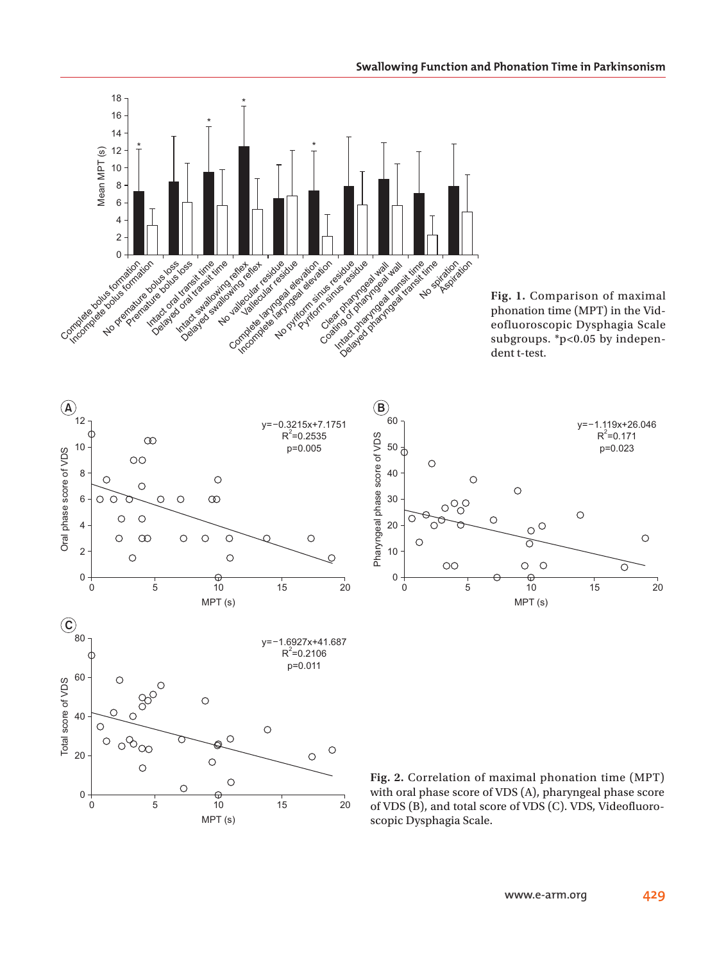

**Fig. 1.** Comparison of maximal phonation time (MPT) in the Videofluoroscopic Dysphagia Scale subgroups. \*p<0.05 by independent t-test.





**Fig. 2.** Correlation of maximal phonation time (MPT) with oral phase score of VDS (A), pharyngeal phase score of VDS (B), and total score of VDS (C). VDS, Videofluoroscopic Dysphagia Scale.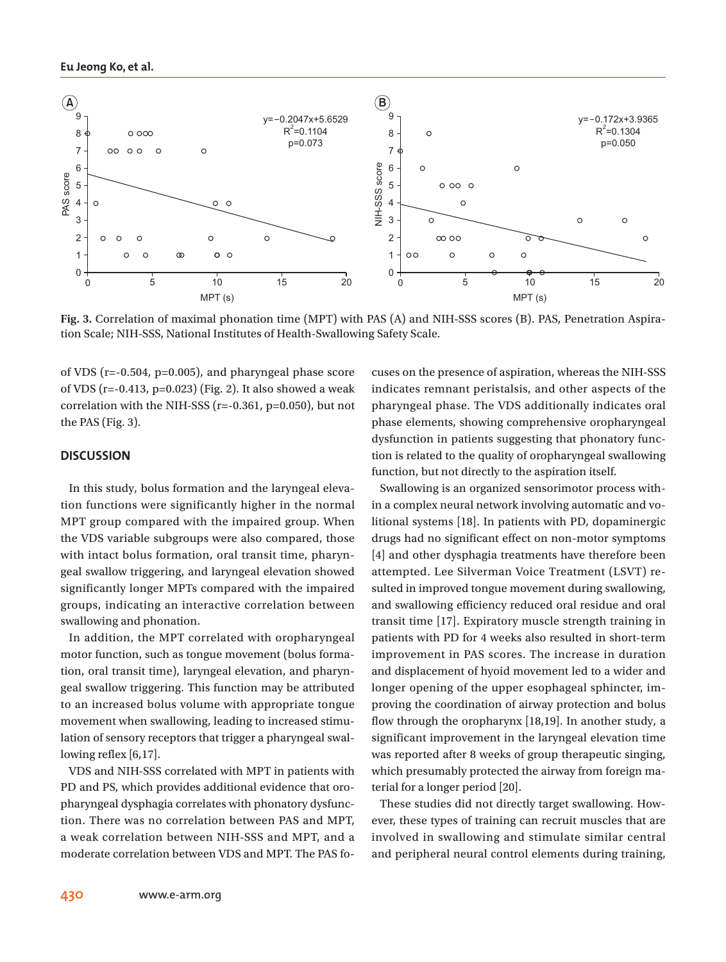

**Fig. 3.** Correlation of maximal phonation time (MPT) with PAS (A) and NIH-SSS scores (B). PAS, Penetration Aspiration Scale; NIH-SSS, National Institutes of Health-Swallowing Safety Scale.

of VDS ( $r=-0.504$ ,  $p=0.005$ ), and pharyngeal phase score of VDS ( $r=-0.413$ ,  $p=0.023$ ) (Fig. 2). It also showed a weak correlation with the NIH-SSS (r=-0.361, p=0.050), but not the PAS (Fig. 3).

# **DISCUSSION**

In this study, bolus formation and the laryngeal elevation functions were significantly higher in the normal MPT group compared with the impaired group. When the VDS variable subgroups were also compared, those with intact bolus formation, oral transit time, pharyngeal swallow triggering, and laryngeal elevation showed significantly longer MPTs compared with the impaired groups, indicating an interactive correlation between swallowing and phonation.

In addition, the MPT correlated with oropharyngeal motor function, such as tongue movement (bolus formation, oral transit time), laryngeal elevation, and pharyngeal swallow triggering. This function may be attributed to an increased bolus volume with appropriate tongue movement when swallowing, leading to increased stimulation of sensory receptors that trigger a pharyngeal swallowing reflex [6,17].

VDS and NIH-SSS correlated with MPT in patients with PD and PS, which provides additional evidence that oropharyngeal dysphagia correlates with phonatory dysfunction. There was no correlation between PAS and MPT, a weak correlation between NIH-SSS and MPT, and a moderate correlation between VDS and MPT. The PAS focuses on the presence of aspiration, whereas the NIH-SSS indicates remnant peristalsis, and other aspects of the pharyngeal phase. The VDS additionally indicates oral phase elements, showing comprehensive oropharyngeal dysfunction in patients suggesting that phonatory function is related to the quality of oropharyngeal swallowing function, but not directly to the aspiration itself.

Swallowing is an organized sensorimotor process within a complex neural network involving automatic and volitional systems [18]. In patients with PD, dopaminergic drugs had no significant effect on non-motor symptoms [4] and other dysphagia treatments have therefore been attempted. Lee Silverman Voice Treatment (LSVT) resulted in improved tongue movement during swallowing, and swallowing efficiency reduced oral residue and oral transit time [17]. Expiratory muscle strength training in patients with PD for 4 weeks also resulted in short-term improvement in PAS scores. The increase in duration and displacement of hyoid movement led to a wider and longer opening of the upper esophageal sphincter, improving the coordination of airway protection and bolus flow through the oropharynx [18,19]. In another study, a significant improvement in the laryngeal elevation time was reported after 8 weeks of group therapeutic singing, which presumably protected the airway from foreign material for a longer period [20].

These studies did not directly target swallowing. However, these types of training can recruit muscles that are involved in swallowing and stimulate similar central and peripheral neural control elements during training,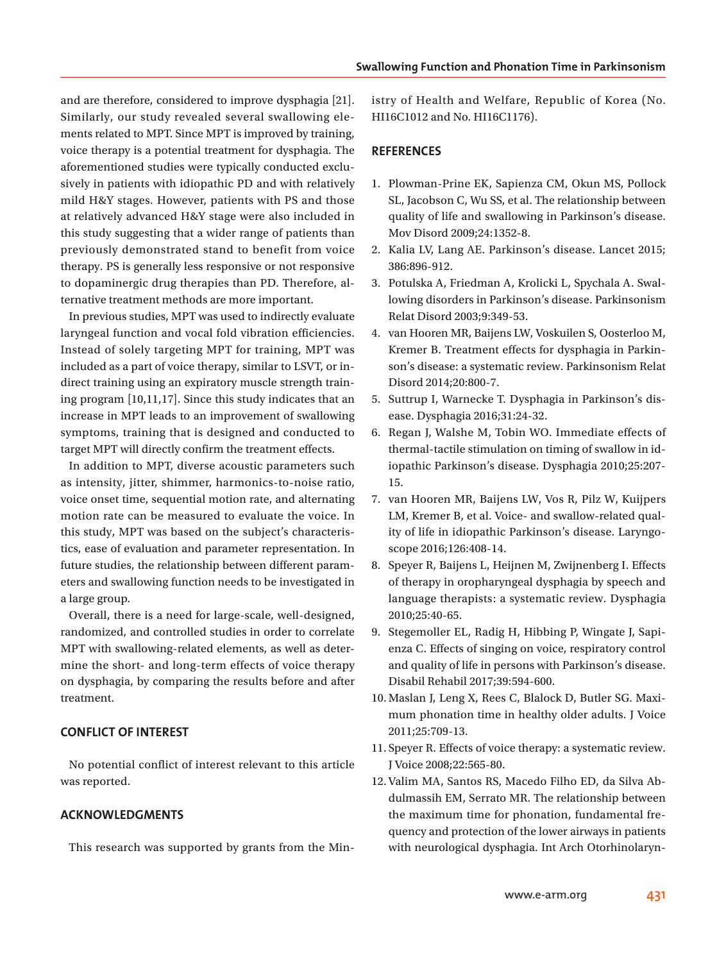and are therefore, considered to improve dysphagia [21]. Similarly, our study revealed several swallowing elements related to MPT. Since MPT is improved by training, voice therapy is a potential treatment for dysphagia. The aforementioned studies were typically conducted exclusively in patients with idiopathic PD and with relatively mild H&Y stages. However, patients with PS and those at relatively advanced H&Y stage were also included in this study suggesting that a wider range of patients than previously demonstrated stand to benefit from voice therapy. PS is generally less responsive or not responsive to dopaminergic drug therapies than PD. Therefore, alternative treatment methods are more important.

In previous studies, MPT was used to indirectly evaluate laryngeal function and vocal fold vibration efficiencies. Instead of solely targeting MPT for training, MPT was included as a part of voice therapy, similar to LSVT, or indirect training using an expiratory muscle strength training program [10,11,17]. Since this study indicates that an increase in MPT leads to an improvement of swallowing symptoms, training that is designed and conducted to target MPT will directly confirm the treatment effects.

In addition to MPT, diverse acoustic parameters such as intensity, jitter, shimmer, harmonics-to-noise ratio, voice onset time, sequential motion rate, and alternating motion rate can be measured to evaluate the voice. In this study, MPT was based on the subject's characteristics, ease of evaluation and parameter representation. In future studies, the relationship between different parameters and swallowing function needs to be investigated in a large group.

Overall, there is a need for large-scale, well-designed, randomized, and controlled studies in order to correlate MPT with swallowing-related elements, as well as determine the short- and long-term effects of voice therapy on dysphagia, by comparing the results before and after treatment.

# **CONFLICT OF INTEREST**

No potential conflict of interest relevant to this article was reported.

# **ACKNOWLEDGMENTS**

This research was supported by grants from the Min-

istry of Health and Welfare, Republic of Korea (No. HI16C1012 and No. HI16C1176).

# **REFERENCES**

- 1. Plowman-Prine EK, Sapienza CM, Okun MS, Pollock SL, Jacobson C, Wu SS, et al. The relationship between quality of life and swallowing in Parkinson's disease. Mov Disord 2009;24:1352-8.
- 2. Kalia LV, Lang AE. Parkinson's disease. Lancet 2015; 386:896-912.
- 3. Potulska A, Friedman A, Krolicki L, Spychala A. Swallowing disorders in Parkinson's disease. Parkinsonism Relat Disord 2003;9:349-53.
- 4. van Hooren MR, Baijens LW, Voskuilen S, Oosterloo M, Kremer B. Treatment effects for dysphagia in Parkinson's disease: a systematic review. Parkinsonism Relat Disord 2014;20:800-7.
- 5. Suttrup I, Warnecke T. Dysphagia in Parkinson's disease. Dysphagia 2016;31:24-32.
- 6. Regan J, Walshe M, Tobin WO. Immediate effects of thermal-tactile stimulation on timing of swallow in idiopathic Parkinson's disease. Dysphagia 2010;25:207- 15.
- 7. van Hooren MR, Baijens LW, Vos R, Pilz W, Kuijpers LM, Kremer B, et al. Voice- and swallow-related quality of life in idiopathic Parkinson's disease. Laryngoscope 2016;126:408-14.
- 8. Speyer R, Baijens L, Heijnen M, Zwijnenberg I. Effects of therapy in oropharyngeal dysphagia by speech and language therapists: a systematic review. Dysphagia 2010;25:40-65.
- 9. Stegemoller EL, Radig H, Hibbing P, Wingate J, Sapienza C. Effects of singing on voice, respiratory control and quality of life in persons with Parkinson's disease. Disabil Rehabil 2017;39:594-600.
- 10. Maslan J, Leng X, Rees C, Blalock D, Butler SG. Maximum phonation time in healthy older adults. J Voice 2011;25:709-13.
- 11. Speyer R. Effects of voice therapy: a systematic review. J Voice 2008;22:565-80.
- 12. Valim MA, Santos RS, Macedo Filho ED, da Silva Abdulmassih EM, Serrato MR. The relationship between the maximum time for phonation, fundamental frequency and protection of the lower airways in patients with neurological dysphagia. Int Arch Otorhinolaryn-